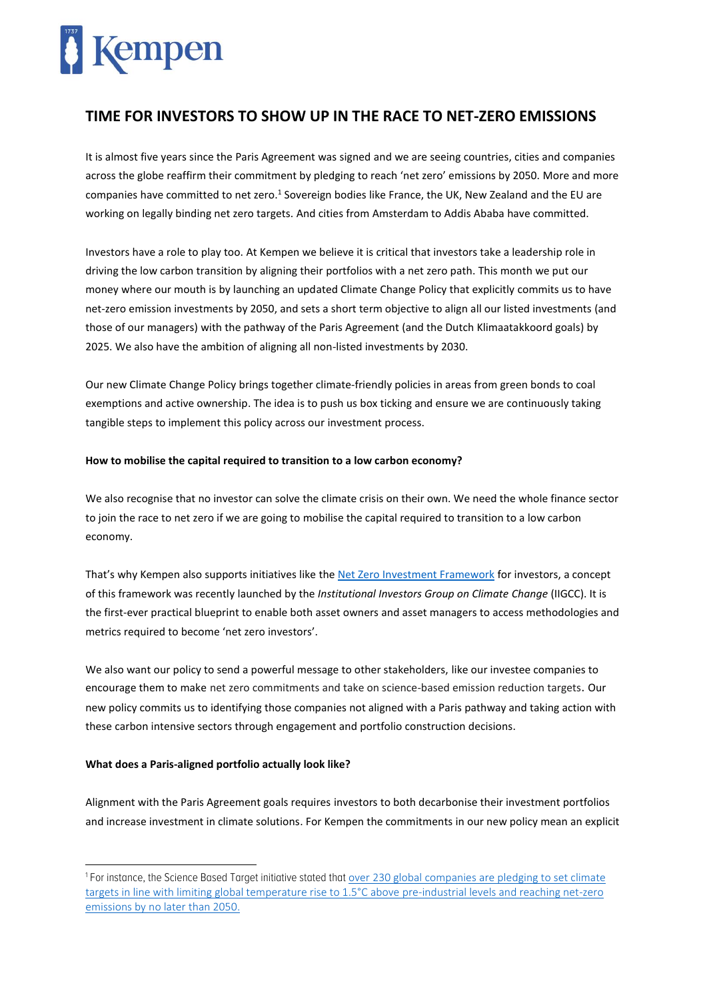## Kempen

### **TIME FOR INVESTORS TO SHOW UP IN THE RACE TO NET-ZERO EMISSIONS**

It is almost five years since the Paris Agreement was signed and we are seeing countries, cities and companies across the globe reaffirm their commitment by pledging to reach 'net zero' emissions by 2050. More and more companies have committed to net zero.<sup>1</sup> Sovereign bodies like France, the UK, New Zealand and the EU are working on legally binding net zero targets. And cities from Amsterdam to Addis Ababa have committed.

Investors have a role to play too. At Kempen we believe it is critical that investors take a leadership role in driving the low carbon transition by aligning their portfolios with a net zero path. This month we put our money where our mouth is by launching an updated Climate Change Policy that explicitly commits us to have net-zero emission investments by 2050, and sets a short term objective to align all our listed investments (and those of our managers) with the pathway of the Paris Agreement (and the Dutch Klimaatakkoord goals) by 2025. We also have the ambition of aligning all non-listed investments by 2030.

Our new Climate Change Policy brings together climate-friendly policies in areas from green bonds to coal exemptions and active ownership. The idea is to push us box ticking and ensure we are continuously taking tangible steps to implement this policy across our investment process.

#### **How to mobilise the capital required to transition to a low carbon economy?**

We also recognise that no investor can solve the climate crisis on their own. We need the whole finance sector to join the race to net zero if we are going to mobilise the capital required to transition to a low carbon economy.

That's why Kempen also supports initiatives like th[e Net Zero Investment Framework](https://www.iigcc.org/news/16-trillion-investors-develop-first-ever-framework-for-net-zero-investing/) for investors, a concept of this framework was recently launched by the *Institutional Investors Group on Climate Change* (IIGCC). It is the first-ever practical blueprint to enable both asset owners and asset managers to access methodologies and metrics required to become 'net zero investors'.

We also want our policy to send a powerful message to other stakeholders, like our investee companies to encourage them to make net zero commitments and take on science-based emission reduction targets. Our new policy commits us to identifying those companies not aligned with a Paris pathway and taking action with these carbon intensive sectors through engagement and portfolio construction decisions.

#### **What does a Paris-aligned portfolio actually look like?**

Alignment with the Paris Agreement goals requires investors to both decarbonise their investment portfolios and increase investment in climate solutions. For Kempen the commitments in our new policy mean an explicit

<sup>&</sup>lt;sup>1</sup> For instance, the Science Based Target initiative stated that [over 230 global companies](https://sciencebasedtargets.org/2020/06/04/corporate-commitments-to-1-5c-and-net-zero-ramp-up-on-world-environment-day/) are pledging to set climate targets in line with limiting global temperature rise to 1.5°C above pre-industrial levels and reaching net-zero emissions by no later than 2050.